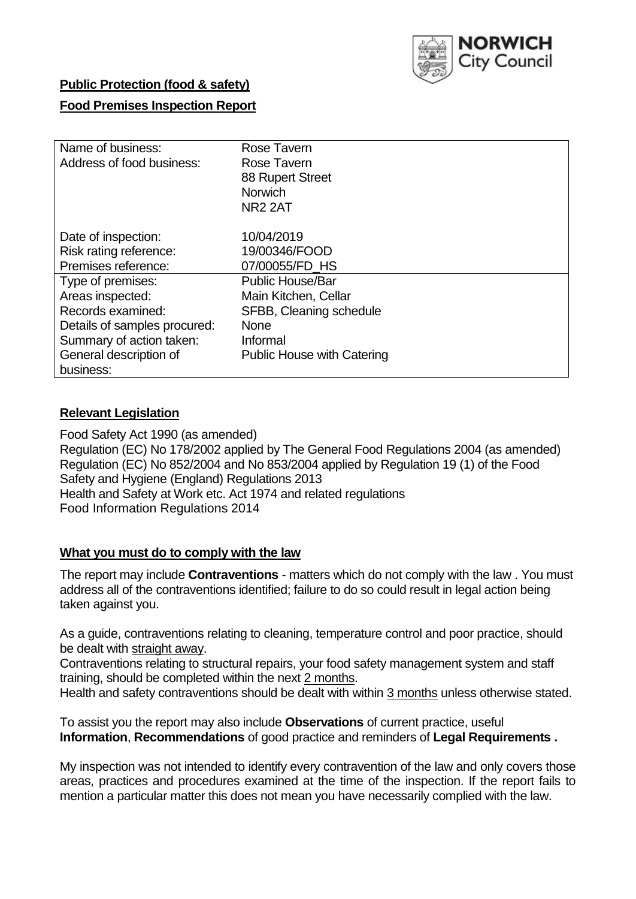

## **Public Protection (food & safety)**

## **Food Premises Inspection Report**

| Name of business:            | Rose Tavern                       |  |  |  |  |
|------------------------------|-----------------------------------|--|--|--|--|
| Address of food business:    | Rose Tavern                       |  |  |  |  |
|                              | 88 Rupert Street                  |  |  |  |  |
|                              | <b>Norwich</b>                    |  |  |  |  |
|                              | <b>NR2 2AT</b>                    |  |  |  |  |
|                              |                                   |  |  |  |  |
| Date of inspection:          | 10/04/2019                        |  |  |  |  |
| Risk rating reference:       | 19/00346/FOOD                     |  |  |  |  |
| Premises reference:          | 07/00055/FD HS                    |  |  |  |  |
| Type of premises:            | <b>Public House/Bar</b>           |  |  |  |  |
| Areas inspected:             | Main Kitchen, Cellar              |  |  |  |  |
| Records examined:            | SFBB, Cleaning schedule           |  |  |  |  |
| Details of samples procured: | <b>None</b>                       |  |  |  |  |
| Summary of action taken:     | Informal                          |  |  |  |  |
| General description of       | <b>Public House with Catering</b> |  |  |  |  |
| business:                    |                                   |  |  |  |  |

#### **Relevant Legislation**

Food Safety Act 1990 (as amended) Regulation (EC) No 178/2002 applied by The General Food Regulations 2004 (as amended) Regulation (EC) No 852/2004 and No 853/2004 applied by Regulation 19 (1) of the Food Safety and Hygiene (England) Regulations 2013 Health and Safety at Work etc. Act 1974 and related regulations Food Information Regulations 2014

#### **What you must do to comply with the law**

The report may include **Contraventions** - matters which do not comply with the law . You must address all of the contraventions identified; failure to do so could result in legal action being taken against you.

As a guide, contraventions relating to cleaning, temperature control and poor practice, should be dealt with straight away.

Contraventions relating to structural repairs, your food safety management system and staff training, should be completed within the next 2 months.

Health and safety contraventions should be dealt with within 3 months unless otherwise stated.

To assist you the report may also include **Observations** of current practice, useful **Information**, **Recommendations** of good practice and reminders of **Legal Requirements .**

My inspection was not intended to identify every contravention of the law and only covers those areas, practices and procedures examined at the time of the inspection. If the report fails to mention a particular matter this does not mean you have necessarily complied with the law.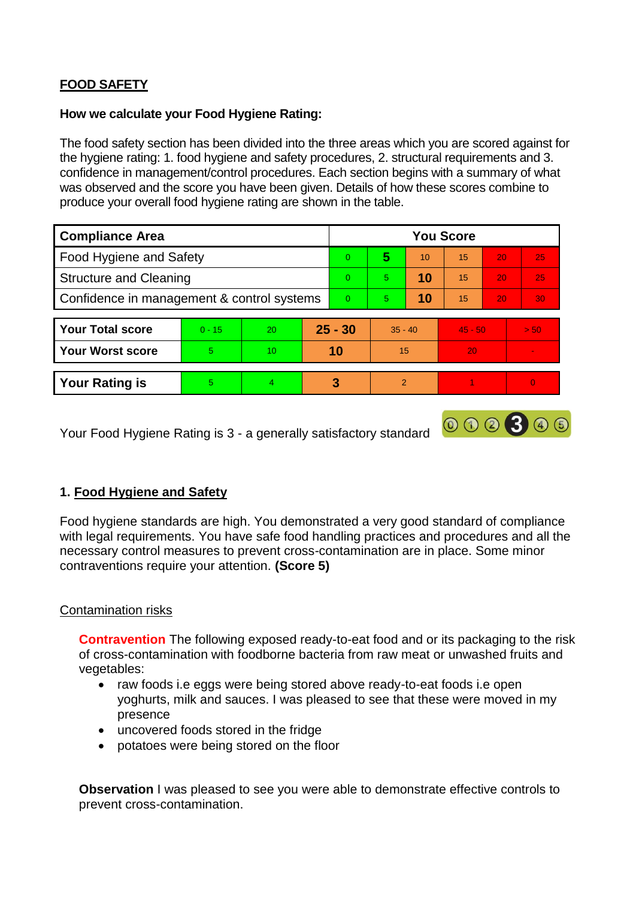# **FOOD SAFETY**

#### **How we calculate your Food Hygiene Rating:**

The food safety section has been divided into the three areas which you are scored against for the hygiene rating: 1. food hygiene and safety procedures, 2. structural requirements and 3. confidence in management/control procedures. Each section begins with a summary of what was observed and the score you have been given. Details of how these scores combine to produce your overall food hygiene rating are shown in the table.

| <b>Compliance Area</b>                     |          |    |           | <b>You Score</b> |               |    |           |                 |          |  |  |
|--------------------------------------------|----------|----|-----------|------------------|---------------|----|-----------|-----------------|----------|--|--|
| Food Hygiene and Safety                    |          |    |           | $\Omega$         | 5             | 10 | 15        | 20              | 25       |  |  |
| <b>Structure and Cleaning</b>              |          |    |           | $\Omega$         | 5             | 10 | 15        | 20              | 25       |  |  |
| Confidence in management & control systems |          |    | $\Omega$  | 5                | 10            | 15 | 20        | 30 <sub>1</sub> |          |  |  |
|                                            |          |    |           |                  |               |    |           |                 |          |  |  |
| <b>Your Total score</b>                    | $0 - 15$ | 20 | $25 - 30$ |                  | $35 - 40$     |    | $45 - 50$ |                 | > 50     |  |  |
| <b>Your Worst score</b>                    | 5.       | 10 |           | 10               | 15            |    | 20        |                 |          |  |  |
|                                            |          |    |           |                  |               |    |           |                 |          |  |  |
| <b>Your Rating is</b>                      | 5.       | 4  |           | 3                | $\mathcal{P}$ |    |           |                 | $\Omega$ |  |  |

Your Food Hygiene Rating is 3 - a generally satisfactory standard

# **1. Food Hygiene and Safety**

Food hygiene standards are high. You demonstrated a very good standard of compliance with legal requirements. You have safe food handling practices and procedures and all the necessary control measures to prevent cross-contamination are in place. Some minor contraventions require your attention. **(Score 5)**

000300

#### Contamination risks

**Contravention** The following exposed ready-to-eat food and or its packaging to the risk of cross-contamination with foodborne bacteria from raw meat or unwashed fruits and vegetables:

- raw foods i.e eggs were being stored above ready-to-eat foods i.e open yoghurts, milk and sauces. I was pleased to see that these were moved in my presence
- uncovered foods stored in the fridge
- potatoes were being stored on the floor

**Observation** I was pleased to see you were able to demonstrate effective controls to prevent cross-contamination.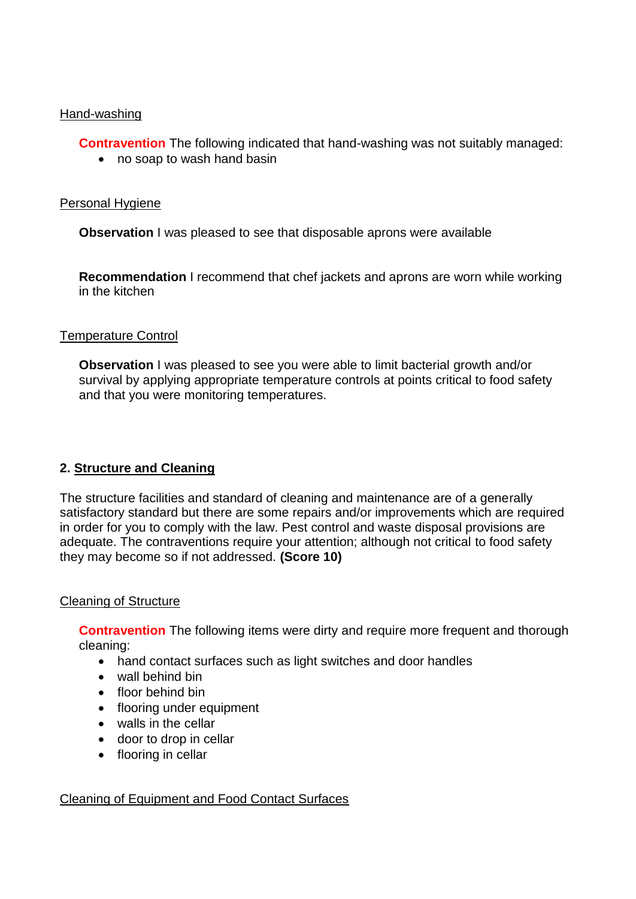#### Hand-washing

**Contravention** The following indicated that hand-washing was not suitably managed:

• no soap to wash hand basin

## Personal Hygiene

**Observation** I was pleased to see that disposable aprons were available

**Recommendation** I recommend that chef jackets and aprons are worn while working in the kitchen

## Temperature Control

**Observation** I was pleased to see you were able to limit bacterial growth and/or survival by applying appropriate temperature controls at points critical to food safety and that you were monitoring temperatures.

# **2. Structure and Cleaning**

The structure facilities and standard of cleaning and maintenance are of a generally satisfactory standard but there are some repairs and/or improvements which are required in order for you to comply with the law. Pest control and waste disposal provisions are adequate. The contraventions require your attention; although not critical to food safety they may become so if not addressed. **(Score 10)**

#### Cleaning of Structure

**Contravention** The following items were dirty and require more frequent and thorough cleaning:

- hand contact surfaces such as light switches and door handles
- wall behind bin
- floor behind bin
- flooring under equipment
- walls in the cellar
- door to drop in cellar
- flooring in cellar

# Cleaning of Equipment and Food Contact Surfaces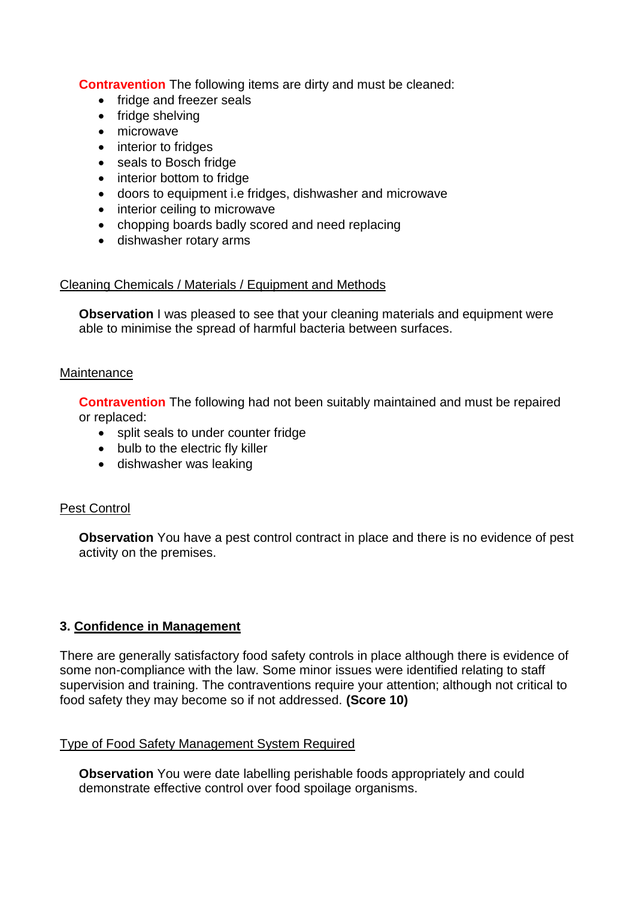**Contravention** The following items are dirty and must be cleaned:

- fridge and freezer seals
- fridge shelving
- microwave
- interior to fridges
- seals to Bosch fridge
- interior bottom to fridge
- doors to equipment i.e fridges, dishwasher and microwave
- interior ceiling to microwave
- chopping boards badly scored and need replacing
- dishwasher rotary arms

# Cleaning Chemicals / Materials / Equipment and Methods

**Observation** I was pleased to see that your cleaning materials and equipment were able to minimise the spread of harmful bacteria between surfaces.

## **Maintenance**

**Contravention** The following had not been suitably maintained and must be repaired or replaced:

- split seals to under counter fridge
- bulb to the electric fly killer
- dishwasher was leaking

# Pest Control

**Observation** You have a pest control contract in place and there is no evidence of pest activity on the premises.

# **3. Confidence in Management**

There are generally satisfactory food safety controls in place although there is evidence of some non-compliance with the law. Some minor issues were identified relating to staff supervision and training. The contraventions require your attention; although not critical to food safety they may become so if not addressed. **(Score 10)**

# Type of Food Safety Management System Required

**Observation** You were date labelling perishable foods appropriately and could demonstrate effective control over food spoilage organisms.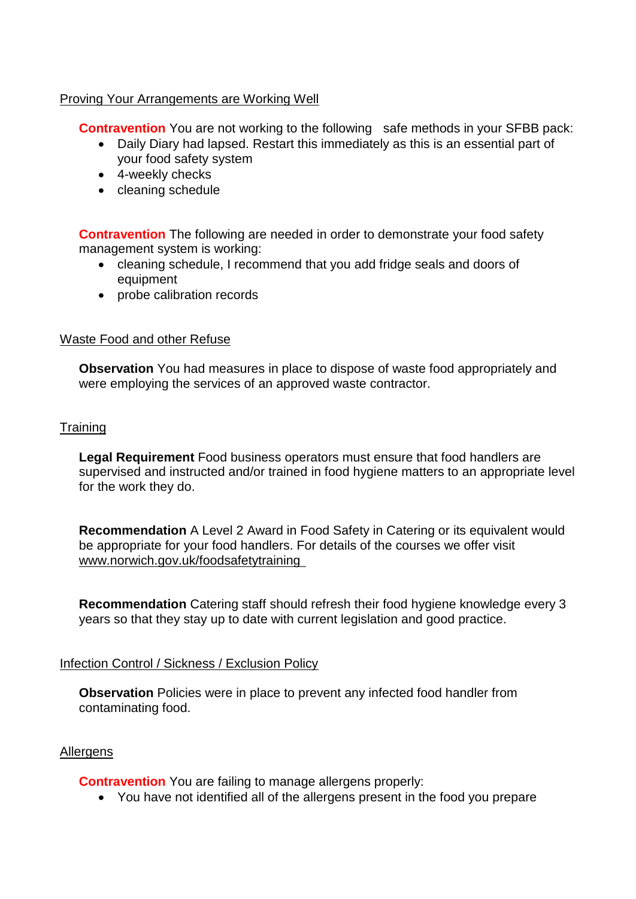#### Proving Your Arrangements are Working Well

**Contravention** You are not working to the following safe methods in your SFBB pack:

- Daily Diary had lapsed. Restart this immediately as this is an essential part of your food safety system
- 4-weekly checks
- cleaning schedule

**Contravention** The following are needed in order to demonstrate your food safety management system is working:

- cleaning schedule, I recommend that you add fridge seals and doors of equipment
- probe calibration records

#### Waste Food and other Refuse

**Observation** You had measures in place to dispose of waste food appropriately and were employing the services of an approved waste contractor.

#### **Training**

**Legal Requirement** Food business operators must ensure that food handlers are supervised and instructed and/or trained in food hygiene matters to an appropriate level for the work they do.

**Recommendation** A Level 2 Award in Food Safety in Catering or its equivalent would be appropriate for your food handlers. For details of the courses we offer visit www.norwich.gov.uk/foodsafetytraining

**Recommendation** Catering staff should refresh their food hygiene knowledge every 3 years so that they stay up to date with current legislation and good practice.

#### Infection Control / Sickness / Exclusion Policy

**Observation** Policies were in place to prevent any infected food handler from contaminating food.

#### **Allergens**

**Contravention** You are failing to manage allergens properly:

You have not identified all of the allergens present in the food you prepare